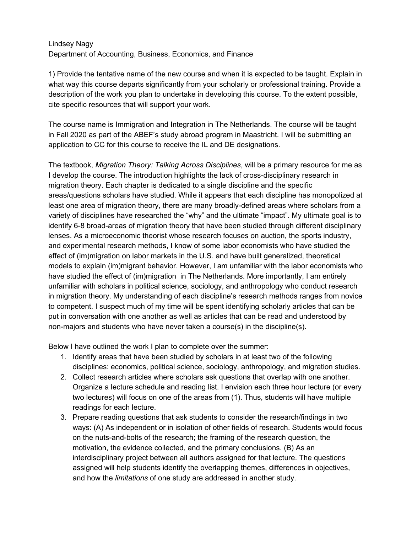## Lindsey Nagy Department of Accounting, Business, Economics, and Finance

1) Provide the tentative name of the new course and when it is expected to be taught. Explain in what way this course departs significantly from your scholarly or professional training. Provide a description of the work you plan to undertake in developing this course. To the extent possible, cite specific resources that will support your work.

The course name is Immigration and Integration in The Netherlands. The course will be taught in Fall 2020 as part of the ABEF's study abroad program in Maastricht. I will be submitting an application to CC for this course to receive the IL and DE designations.

The textbook, *Migration Theory: Talking Across Disciplines*, will be a primary resource for me as I develop the course. The introduction highlights the lack of cross-disciplinary research in migration theory. Each chapter is dedicated to a single discipline and the specific areas/questions scholars have studied. While it appears that each discipline has monopolized at least one area of migration theory, there are many broadly-defined areas where scholars from a variety of disciplines have researched the "why" and the ultimate "impact". My ultimate goal is to identify 6-8 broad-areas of migration theory that have been studied through different disciplinary lenses. As a microeconomic theorist whose research focuses on auction, the sports industry, and experimental research methods, I know of some labor economists who have studied the effect of (im)migration on labor markets in the U.S. and have built generalized, theoretical models to explain (im)migrant behavior. However, I am unfamiliar with the labor economists who have studied the effect of (im)migration in The Netherlands. More importantly, I am entirely unfamiliar with scholars in political science, sociology, and anthropology who conduct research in migration theory. My understanding of each discipline's research methods ranges from novice to competent. I suspect much of my time will be spent identifying scholarly articles that can be put in conversation with one another as well as articles that can be read and understood by non-majors and students who have never taken a course(s) in the discipline(s).

Below I have outlined the work I plan to complete over the summer:

- 1. Identify areas that have been studied by scholars in at least two of the following disciplines: economics, political science, sociology, anthropology, and migration studies.
- 2. Collect research articles where scholars ask questions that overlap with one another. Organize a lecture schedule and reading list. I envision each three hour lecture (or every two lectures) will focus on one of the areas from (1). Thus, students will have multiple readings for each lecture.
- 3. Prepare reading questions that ask students to consider the research/findings in two ways: (A) As independent or in isolation of other fields of research. Students would focus on the nuts-and-bolts of the research; the framing of the research question, the motivation, the evidence collected, and the primary conclusions. (B) As an interdisciplinary project between all authors assigned for that lecture. The questions assigned will help students identify the overlapping themes, differences in objectives, and how the *limitations* of one study are addressed in another study.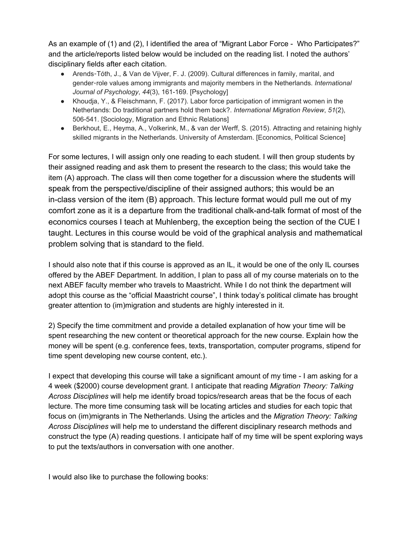As an example of (1) and (2), I identified the area of "Migrant Labor Force - Who Participates?" and the article/reports listed below would be included on the reading list. I noted the authors' disciplinary fields after each citation.

- Arends-Tóth, J., & Van de Vijver, F. J. (2009). Cultural differences in family, marital, and gender-role values among immigrants and majority members in the Netherlands. *International Journal of Psychology*, *44*(3), 161-169. [Psychology]
- Khoudja, Y., & Fleischmann, F. (2017). Labor force participation of immigrant women in the Netherlands: Do traditional partners hold them back?. *International Migration Review*, *51*(2), 506-541. [Sociology, Migration and Ethnic Relations]
- Berkhout, E., Heyma, A., Volkerink, M., & van der Werff, S. (2015). Attracting and retaining highly skilled migrants in the Netherlands. University of Amsterdam. [Economics, Political Science]

For some lectures, I will assign only one reading to each student. I will then group students by their assigned reading and ask them to present the research to the class; this would take the item (A) approach. The class will then come together for a discussion where the students will speak from the perspective/discipline of their assigned authors; this would be an in-class version of the item (B) approach. This lecture format would pull me out of my comfort zone as it is a departure from the traditional chalk-and-talk format of most of the economics courses I teach at Muhlenberg, the exception being the section of the CUE I taught. Lectures in this course would be void of the graphical analysis and mathematical problem solving that is standard to the field.

I should also note that if this course is approved as an IL, it would be one of the only IL courses offered by the ABEF Department. In addition, I plan to pass all of my course materials on to the next ABEF faculty member who travels to Maastricht. While I do not think the department will adopt this course as the "official Maastricht course", I think today's political climate has brought greater attention to (im)migration and students are highly interested in it.

2) Specify the time commitment and provide a detailed explanation of how your time will be spent researching the new content or theoretical approach for the new course. Explain how the money will be spent (e.g. conference fees, texts, transportation, computer programs, stipend for time spent developing new course content, etc.).

I expect that developing this course will take a significant amount of my time - I am asking for a 4 week (\$2000) course development grant. I anticipate that reading *Migration Theory: Talking Across Disciplines* will help me identify broad topics/research areas that be the focus of each lecture. The more time consuming task will be locating articles and studies for each topic that focus on (im)migrants in The Netherlands. Using the articles and the *Migration Theory: Talking Across Disciplines* will help me to understand the different disciplinary research methods and construct the type (A) reading questions. I anticipate half of my time will be spent exploring ways to put the texts/authors in conversation with one another.

I would also like to purchase the following books: